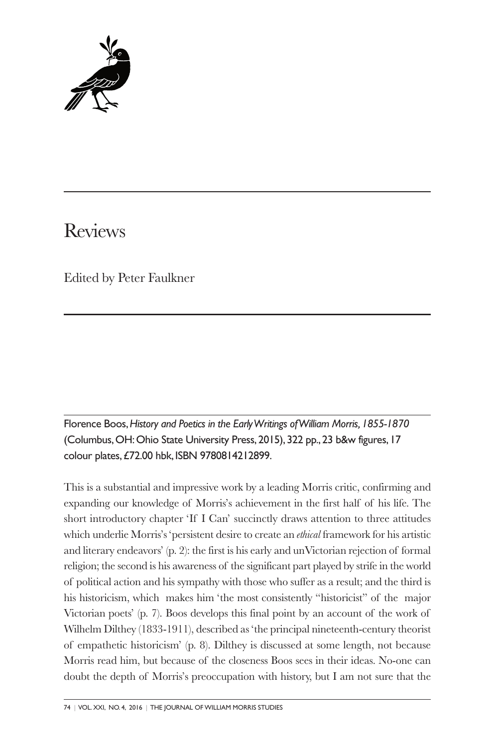

# Reviews

Edited by Peter Faulkner

Florence Boos,*History and Poetics in the EarlyWritings ofWilliam Morris,1855-1870* (Columbus,OH:Ohio State University Press, 2015), 322 pp., 23 b&w figures, 17 colour plates,£72.00 hbk, ISBN 9780814212899.

This is a substantial and impressive work by a leading Morris critic, confirming and expanding our knowledge of Morris's achievement in the first half of his life. The short introductory chapter 'If I Can' succinctly draws attention to three attitudes which underlie Morris's 'persistent desire to create an *ethical* framework for his artistic and literary endeavors' (p. 2): the first is his early and unVictorian rejection of formal religion; the second is his awareness of the significant part played by strife in the world of political action and his sympathy with those who suffer as a result; and the third is his historicism, which makes him 'the most consistently "historicist" of the major Victorian poets' (p. 7). Boos develops this final point by an account of the work of Wilhelm Dilthey (1833-1911), described as 'the principal nineteenth-century theorist of empathetic historicism' (p. 8). Dilthey is discussed at some length, not because Morris read him, but because of the closeness Boos sees in their ideas. No-one can doubt the depth of Morris's preoccupation with history, but I am not sure that the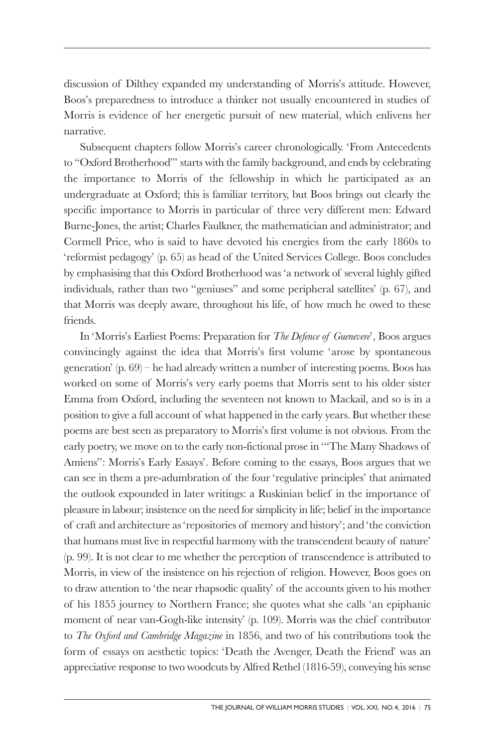discussion of Dilthey expanded my understanding of Morris's attitude. However, Boos's preparedness to introduce a thinker not usually encountered in studies of Morris is evidence of her energetic pursuit of new material, which enlivens her narrative.

Subsequent chapters follow Morris's career chronologically. 'From Antecedents to "Oxford Brotherhood"' starts with the family background, and ends by celebrating the importance to Morris of the fellowship in which he participated as an undergraduate at Oxford; this is familiar territory, but Boos brings out clearly the specific importance to Morris in particular of three very different men: Edward Burne-Jones, the artist; Charles Faulkner, the mathematician and administrator; and Cormell Price, who is said to have devoted his energies from the early 1860s to 'reformist pedagogy' (p. 65) as head of the United Services College. Boos concludes by emphasising that this Oxford Brotherhood was 'a network of several highly gifted individuals, rather than two "geniuses" and some peripheral satellites' (p. 67), and that Morris was deeply aware, throughout his life, of how much he owed to these friends.

In 'Morris's Earliest Poems: Preparation for *The Defence of Guenevere*', Boos argues convincingly against the idea that Morris's first volume 'arose by spontaneous generation' (p. 69) – he had already written a number of interesting poems. Boos has worked on some of Morris's very early poems that Morris sent to his older sister Emma from Oxford, including the seventeen not known to Mackail, and so is in a position to give a full account of what happened in the early years. But whether these poems are best seen as preparatory to Morris's first volume is not obvious. From the early poetry, we move on to the early non-fictional prose in '"The Many Shadows of Amiens": Morris's Early Essays'. Before coming to the essays, Boos argues that we can see in them a pre-adumbration of the four 'regulative principles' that animated the outlook expounded in later writings: a Ruskinian belief in the importance of pleasure in labour; insistence on the need for simplicity in life; belief in the importance of craft and architecture as 'repositories of memory and history'; and 'the conviction that humans must live in respectful harmony with the transcendent beauty of nature' (p. 99). It is not clear to me whether the perception of transcendence is attributed to Morris, in view of the insistence on his rejection of religion. However, Boos goes on to draw attention to 'the near rhapsodic quality' of the accounts given to his mother of his 1855 journey to Northern France; she quotes what she calls 'an epiphanic moment of near van-Gogh-like intensity' (p. 109). Morris was the chief contributor to *The Oxford and Cambridge Magazine* in 1856, and two of his contributions took the form of essays on aesthetic topics: 'Death the Avenger, Death the Friend' was an appreciative response to two woodcuts by Alfred Rethel (1816-59), conveying his sense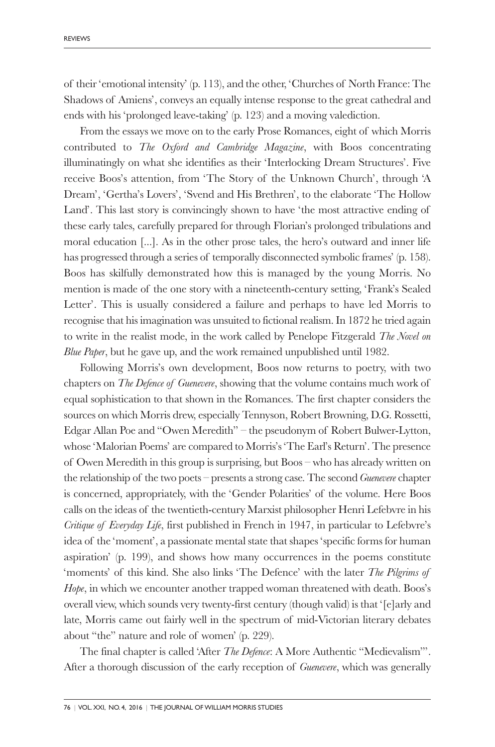of their 'emotional intensity' (p. 113), and the other, 'Churches of North France: The Shadows of Amiens', conveys an equally intense response to the great cathedral and ends with his 'prolonged leave-taking' (p. 123) and a moving valediction.

From the essays we move on to the early Prose Romances, eight of which Morris contributed to *The Oxford and Cambridge Magazine*, with Boos concentrating illuminatingly on what she identifies as their 'Interlocking Dream Structures'. Five receive Boos's attention, from 'The Story of the Unknown Church', through 'A Dream', 'Gertha's Lovers', 'Svend and His Brethren', to the elaborate 'The Hollow Land'. This last story is convincingly shown to have 'the most attractive ending of these early tales, carefully prepared for through Florian's prolonged tribulations and moral education [...]. As in the other prose tales, the hero's outward and inner life has progressed through a series of temporally disconnected symbolic frames' (p. 158). Boos has skilfully demonstrated how this is managed by the young Morris. No mention is made of the one story with a nineteenth-century setting, 'Frank's Sealed Letter'. This is usually considered a failure and perhaps to have led Morris to recognise that his imagination was unsuited to fictional realism. In 1872 he tried again to write in the realist mode, in the work called by Penelope Fitzgerald *The Novel on Blue Paper*, but he gave up, and the work remained unpublished until 1982.

Following Morris's own development, Boos now returns to poetry, with two chapters on *The Defence of Guenevere*, showing that the volume contains much work of equal sophistication to that shown in the Romances. The first chapter considers the sources on which Morris drew, especially Tennyson, Robert Browning, D.G. Rossetti, Edgar Allan Poe and "Owen Meredith" – the pseudonym of Robert Bulwer-Lytton, whose 'Malorian Poems' are compared to Morris's 'The Earl's Return'. The presence of Owen Meredith in this group is surprising, but Boos – who has already written on the relationship of the two poets – presents a strong case. The second *Guenevere* chapter is concerned, appropriately, with the 'Gender Polarities' of the volume. Here Boos calls on the ideas of the twentieth-century Marxist philosopher Henri Lefebvre in his *Critique of Everyday Life*, first published in French in 1947, in particular to Lefebvre's idea of the 'moment', a passionate mental state that shapes 'specific forms for human aspiration' (p. 199), and shows how many occurrences in the poems constitute 'moments' of this kind. She also links 'The Defence' with the later *The Pilgrims of Hope*, in which we encounter another trapped woman threatened with death. Boos's overall view, which sounds very twenty-first century (though valid) is that '[e]arly and late, Morris came out fairly well in the spectrum of mid-Victorian literary debates about "the" nature and role of women' (p. 229).

The final chapter is called 'After *The Defence*: A More Authentic "Medievalism"'. After a thorough discussion of the early reception of *Guenevere*, which was generally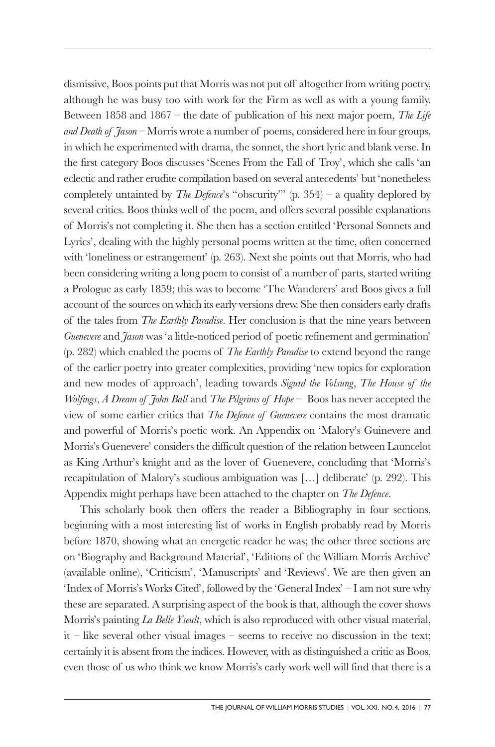dismissive, Boos points put that Morris was not put off altogether from writing poetry, although he was busy too with work for the Firm as well as with a young family. Between 1858 and 1867 – the date of publication of his next major poem, *The Life and Death of Jason* – Morris wrote a number of poems, considered here in four groups, in which he experimented with drama, the sonnet, the short lyric and blank verse. In the first category Boos discusses 'Scenes From the Fall of Troy', which she calls 'an eclectic and rather erudite compilation based on several antecedents' but 'nonetheless completely untainted by *The Defence*'s "obscurity"' (p. 354) – a quality deplored by several critics. Boos thinks well of the poem, and offers several possible explanations of Morris's not completing it. She then has a section entitled 'Personal Sonnets and Lyrics', dealing with the highly personal poems written at the time, often concerned with 'loneliness or estrangement' (p. 263). Next she points out that Morris, who had been considering writing a long poem to consist of a number of parts, started writing a Prologue as early 1859; this was to become 'The Wanderers' and Boos gives a full account of the sources on which its early versions drew. She then considers early drafts of the tales from *The Earthly Paradise*. Her conclusion is that the nine years between *Guenevere* and *Jason* was 'a little-noticed period of poetic refinement and germination' (p. 282) which enabled the poems of *The Earthly Paradise* to extend beyond the range of the earlier poetry into greater complexities, providing 'new topics for exploration and new modes of approach', leading towards *Sigurd the Volsung*, *The House of the Wolfings*, *A Dream of John Ball* and *The Pilgrims of Hope* – Boos has never accepted the view of some earlier critics that *The Defence of Guenevere* contains the most dramatic and powerful of Morris's poetic work. An Appendix on 'Malory's Guinevere and Morris's Guenevere' considers the difficult question of the relation between Launcelot as King Arthur's knight and as the lover of Guenevere, concluding that 'Morris's recapitulation of Malory's studious ambiguation was […] deliberate' (p. 292). This Appendix might perhaps have been attached to the chapter on *The Defence*.

This scholarly book then offers the reader a Bibliography in four sections, beginning with a most interesting list of works in English probably read by Morris before 1870, showing what an energetic reader he was; the other three sections are on 'Biography and Background Material', 'Editions of the William Morris Archive' (available online), 'Criticism', 'Manuscripts' and 'Reviews'. We are then given an 'Index of Morris's Works Cited', followed by the 'General Index' – I am not sure why these are separated. A surprising aspect of the book is that, although the cover shows Morris's painting *La Belle Yseult*, which is also reproduced with other visual material, it – like several other visual images – seems to receive no discussion in the text; certainly it is absent from the indices. However, with as distinguished a critic as Boos, even those of us who think we know Morris's early work well will find that there is a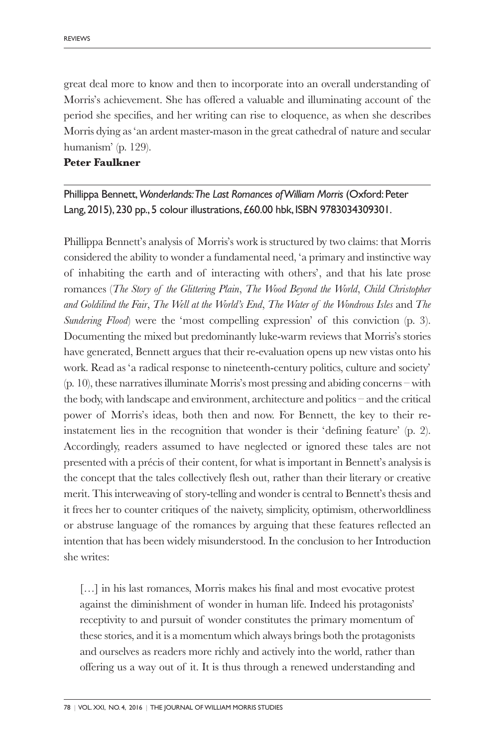great deal more to know and then to incorporate into an overall understanding of Morris's achievement. She has offered a valuable and illuminating account of the period she specifies, and her writing can rise to eloquence, as when she describes Morris dying as 'an ardent master-mason in the great cathedral of nature and secular humanism' (p. 129).

### **Peter Faulkner**

Phillippa Bennett,*Wonderlands:The Last Romances ofWilliam Morris* (Oxford:Peter Lang, 2015), 230 pp., 5 colour illustrations,£60.00 hbk, ISBN 9783034309301.

Phillippa Bennett's analysis of Morris's work is structured by two claims: that Morris considered the ability to wonder a fundamental need, 'a primary and instinctive way of inhabiting the earth and of interacting with others', and that his late prose romances (*The Story of the Glittering Plain*, *The Wood Beyond the World*, *Child Christopher and Goldilind the Fair*, *The Well at the World's End*, *The Water of the Wondrous Isles* and *The Sundering Flood*) were the 'most compelling expression' of this conviction (p. 3). Documenting the mixed but predominantly luke-warm reviews that Morris's stories have generated, Bennett argues that their re-evaluation opens up new vistas onto his work. Read as 'a radical response to nineteenth-century politics, culture and society' (p. 10), these narratives illuminate Morris's most pressing and abiding concerns – with the body, with landscape and environment, architecture and politics – and the critical power of Morris's ideas, both then and now. For Bennett, the key to their reinstatement lies in the recognition that wonder is their 'defining feature' (p. 2). Accordingly, readers assumed to have neglected or ignored these tales are not presented with a précis of their content, for what is important in Bennett's analysis is the concept that the tales collectively flesh out, rather than their literary or creative merit. This interweaving of story-telling and wonder is central to Bennett's thesis and it frees her to counter critiques of the naivety, simplicity, optimism, otherworldliness or abstruse language of the romances by arguing that these features reflected an intention that has been widely misunderstood. In the conclusion to her Introduction she writes:

[...] in his last romances, Morris makes his final and most evocative protest against the diminishment of wonder in human life. Indeed his protagonists' receptivity to and pursuit of wonder constitutes the primary momentum of these stories, and it is a momentum which always brings both the protagonists and ourselves as readers more richly and actively into the world, rather than offering us a way out of it. It is thus through a renewed understanding and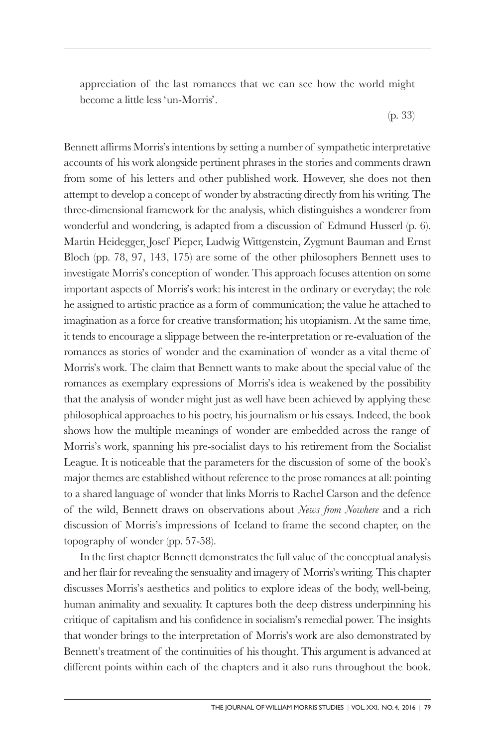appreciation of the last romances that we can see how the world might become a little less 'un-Morris'.

(p. 33)

Bennett affirms Morris's intentions by setting a number of sympathetic interpretative accounts of his work alongside pertinent phrases in the stories and comments drawn from some of his letters and other published work. However, she does not then attempt to develop a concept of wonder by abstracting directly from his writing. The three-dimensional framework for the analysis, which distinguishes a wonderer from wonderful and wondering, is adapted from a discussion of Edmund Husserl (p. 6). Martin Heidegger, Josef Pieper, Ludwig Wittgenstein, Zygmunt Bauman and Ernst Bloch (pp. 78, 97, 143, 175) are some of the other philosophers Bennett uses to investigate Morris's conception of wonder. This approach focuses attention on some important aspects of Morris's work: his interest in the ordinary or everyday; the role he assigned to artistic practice as a form of communication; the value he attached to imagination as a force for creative transformation; his utopianism. At the same time, it tends to encourage a slippage between the re-interpretation or re-evaluation of the romances as stories of wonder and the examination of wonder as a vital theme of Morris's work. The claim that Bennett wants to make about the special value of the romances as exemplary expressions of Morris's idea is weakened by the possibility that the analysis of wonder might just as well have been achieved by applying these philosophical approaches to his poetry, his journalism or his essays. Indeed, the book shows how the multiple meanings of wonder are embedded across the range of Morris's work, spanning his pre-socialist days to his retirement from the Socialist League. It is noticeable that the parameters for the discussion of some of the book's major themes are established without reference to the prose romances at all: pointing to a shared language of wonder that links Morris to Rachel Carson and the defence of the wild, Bennett draws on observations about *News from Nowhere* and a rich discussion of Morris's impressions of Iceland to frame the second chapter, on the topography of wonder (pp. 57-58).

In the first chapter Bennett demonstrates the full value of the conceptual analysis and her flair for revealing the sensuality and imagery of Morris's writing. This chapter discusses Morris's aesthetics and politics to explore ideas of the body, well-being, human animality and sexuality. It captures both the deep distress underpinning his critique of capitalism and his confidence in socialism's remedial power. The insights that wonder brings to the interpretation of Morris's work are also demonstrated by Bennett's treatment of the continuities of his thought. This argument is advanced at different points within each of the chapters and it also runs throughout the book.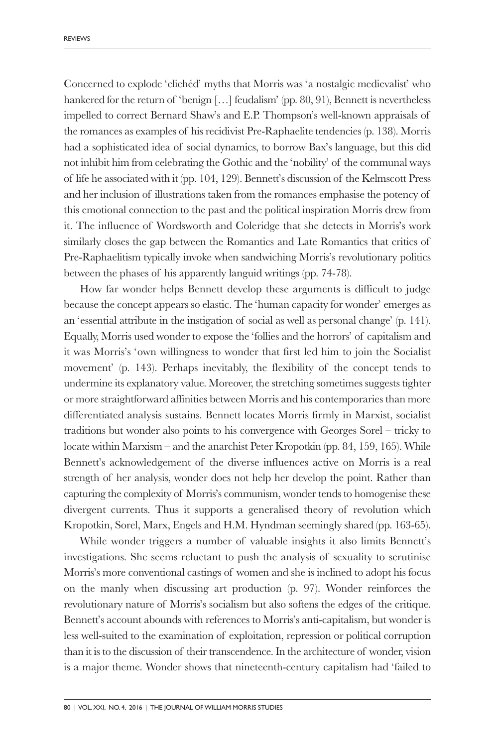Concerned to explode 'clichéd' myths that Morris was 'a nostalgic medievalist' who hankered for the return of 'benign [...] feudalism' (pp. 80, 91), Bennett is nevertheless impelled to correct Bernard Shaw's and E.P. Thompson's well-known appraisals of the romances as examples of his recidivist Pre-Raphaelite tendencies (p. 138). Morris had a sophisticated idea of social dynamics, to borrow Bax's language, but this did not inhibit him from celebrating the Gothic and the 'nobility' of the communal ways of life he associated with it (pp. 104, 129). Bennett's discussion of the Kelmscott Press and her inclusion of illustrations taken from the romances emphasise the potency of this emotional connection to the past and the political inspiration Morris drew from it. The influence of Wordsworth and Coleridge that she detects in Morris's work similarly closes the gap between the Romantics and Late Romantics that critics of Pre-Raphaelitism typically invoke when sandwiching Morris's revolutionary politics between the phases of his apparently languid writings (pp. 74-78).

How far wonder helps Bennett develop these arguments is difficult to judge because the concept appears so elastic. The 'human capacity for wonder' emerges as an 'essential attribute in the instigation of social as well as personal change' (p. 141). Equally, Morris used wonder to expose the 'follies and the horrors' of capitalism and it was Morris's 'own willingness to wonder that first led him to join the Socialist movement' (p. 143). Perhaps inevitably, the flexibility of the concept tends to undermine its explanatory value. Moreover, the stretching sometimes suggests tighter or more straightforward affinities between Morris and his contemporaries than more differentiated analysis sustains. Bennett locates Morris firmly in Marxist, socialist traditions but wonder also points to his convergence with Georges Sorel – tricky to locate within Marxism – and the anarchist Peter Kropotkin (pp. 84, 159, 165). While Bennett's acknowledgement of the diverse influences active on Morris is a real strength of her analysis, wonder does not help her develop the point. Rather than capturing the complexity of Morris's communism, wonder tends to homogenise these divergent currents. Thus it supports a generalised theory of revolution which Kropotkin, Sorel, Marx, Engels and H.M. Hyndman seemingly shared (pp. 163-65).

While wonder triggers a number of valuable insights it also limits Bennett's investigations. She seems reluctant to push the analysis of sexuality to scrutinise Morris's more conventional castings of women and she is inclined to adopt his focus on the manly when discussing art production (p. 97). Wonder reinforces the revolutionary nature of Morris's socialism but also softens the edges of the critique. Bennett's account abounds with references to Morris's anti-capitalism, but wonder is less well-suited to the examination of exploitation, repression or political corruption than it is to the discussion of their transcendence. In the architecture of wonder, vision is a major theme. Wonder shows that nineteenth-century capitalism had 'failed to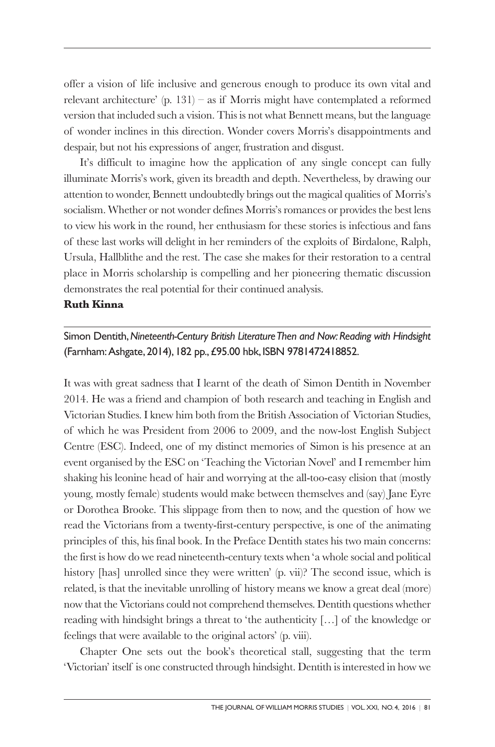offer a vision of life inclusive and generous enough to produce its own vital and relevant architecture' (p. 131) – as if Morris might have contemplated a reformed version that included such a vision. This is not what Bennett means, but the language of wonder inclines in this direction. Wonder covers Morris's disappointments and despair, but not his expressions of anger, frustration and disgust.

It's difficult to imagine how the application of any single concept can fully illuminate Morris's work, given its breadth and depth. Nevertheless, by drawing our attention to wonder, Bennett undoubtedly brings out the magical qualities of Morris's socialism. Whether or not wonder defines Morris's romances or provides the best lens to view his work in the round, her enthusiasm for these stories is infectious and fans of these last works will delight in her reminders of the exploits of Birdalone, Ralph, Ursula, Hallblithe and the rest. The case she makes for their restoration to a central place in Morris scholarship is compelling and her pioneering thematic discussion demonstrates the real potential for their continued analysis.

## **Ruth Kinna**

Simon Dentith,*Nineteenth-Century British LiteratureThen and Now:Reading with Hindsight* (Farnham:Ashgate, 2014), 182 pp.,£95.00 hbk, ISBN 9781472418852.

It was with great sadness that I learnt of the death of Simon Dentith in November 2014. He was a friend and champion of both research and teaching in English and Victorian Studies. I knew him both from the British Association of Victorian Studies, of which he was President from 2006 to 2009, and the now-lost English Subject Centre (ESC). Indeed, one of my distinct memories of Simon is his presence at an event organised by the ESC on 'Teaching the Victorian Novel' and I remember him shaking his leonine head of hair and worrying at the all-too-easy elision that (mostly young, mostly female) students would make between themselves and (say) Jane Eyre or Dorothea Brooke. This slippage from then to now, and the question of how we read the Victorians from a twenty-first-century perspective, is one of the animating principles of this, his final book. In the Preface Dentith states his two main concerns: the first is how do we read nineteenth-century texts when 'a whole social and political history [has] unrolled since they were written' (p. vii)? The second issue, which is related, is that the inevitable unrolling of history means we know a great deal (more) now that the Victorians could not comprehend themselves. Dentith questions whether reading with hindsight brings a threat to 'the authenticity […] of the knowledge or feelings that were available to the original actors' (p. viii).

Chapter One sets out the book's theoretical stall, suggesting that the term 'Victorian' itself is one constructed through hindsight. Dentith is interested in how we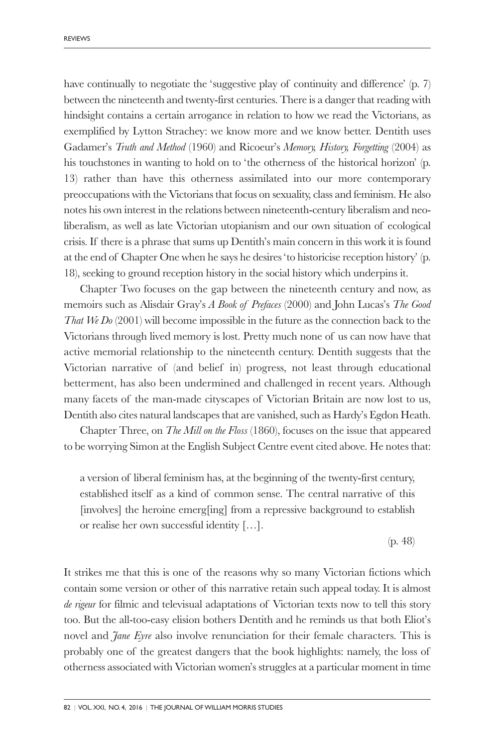have continually to negotiate the 'suggestive play of continuity and difference' (p. 7) between the nineteenth and twenty-first centuries. There is a danger that reading with hindsight contains a certain arrogance in relation to how we read the Victorians, as exemplified by Lytton Strachey: we know more and we know better. Dentith uses Gadamer's *Truth and Method* (1960) and Ricoeur's *Memory, History, Forgetting* (2004) as his touchstones in wanting to hold on to 'the otherness of the historical horizon' (p. 13) rather than have this otherness assimilated into our more contemporary preoccupations with the Victorians that focus on sexuality, class and feminism. He also notes his own interest in the relations between nineteenth-century liberalism and neoliberalism, as well as late Victorian utopianism and our own situation of ecological crisis. If there is a phrase that sums up Dentith's main concern in this work it is found at the end of Chapter One when he says he desires 'to historicise reception history' (p. 18), seeking to ground reception history in the social history which underpins it.

Chapter Two focuses on the gap between the nineteenth century and now, as memoirs such as Alisdair Gray's *A Book of Prefaces* (2000) and John Lucas's *The Good That We Do* (2001) will become impossible in the future as the connection back to the Victorians through lived memory is lost. Pretty much none of us can now have that active memorial relationship to the nineteenth century. Dentith suggests that the Victorian narrative of (and belief in) progress, not least through educational betterment, has also been undermined and challenged in recent years. Although many facets of the man-made cityscapes of Victorian Britain are now lost to us, Dentith also cites natural landscapes that are vanished, such as Hardy's Egdon Heath.

Chapter Three, on *The Mill on the Floss* (1860), focuses on the issue that appeared to be worrying Simon at the English Subject Centre event cited above. He notes that:

a version of liberal feminism has, at the beginning of the twenty-first century, established itself as a kind of common sense. The central narrative of this [involves] the heroine emerg[ing] from a repressive background to establish or realise her own successful identity […].

(p. 48)

It strikes me that this is one of the reasons why so many Victorian fictions which contain some version or other of this narrative retain such appeal today. It is almost *de rigeur* for filmic and televisual adaptations of Victorian texts now to tell this story too. But the all-too-easy elision bothers Dentith and he reminds us that both Eliot's novel and *Jane Eyre* also involve renunciation for their female characters. This is probably one of the greatest dangers that the book highlights: namely, the loss of otherness associated with Victorian women's struggles at a particular moment in time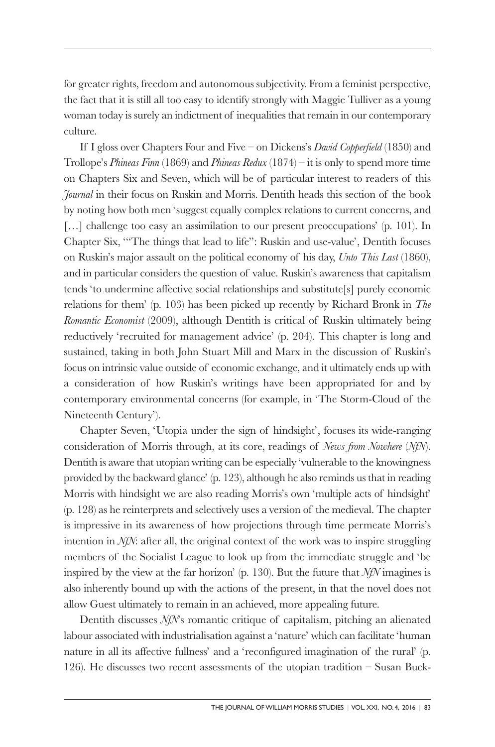for greater rights, freedom and autonomous subjectivity. From a feminist perspective, the fact that it is still all too easy to identify strongly with Maggie Tulliver as a young woman today is surely an indictment of inequalities that remain in our contemporary culture.

If I gloss over Chapters Four and Five – on Dickens's *David Copperfield* (1850) and Trollope's *Phineas Finn* (1869) and *Phineas Redux* (1874) – it is only to spend more time on Chapters Six and Seven, which will be of particular interest to readers of this *Journal* in their focus on Ruskin and Morris. Dentith heads this section of the book by noting how both men 'suggest equally complex relations to current concerns, and [...] challenge too easy an assimilation to our present preoccupations' (p. 101). In Chapter Six, '"The things that lead to life": Ruskin and use-value', Dentith focuses on Ruskin's major assault on the political economy of his day, *Unto This Last* (1860), and in particular considers the question of value. Ruskin's awareness that capitalism tends 'to undermine affective social relationships and substitute[s] purely economic relations for them' (p. 103) has been picked up recently by Richard Bronk in *The Romantic Economist* (2009), although Dentith is critical of Ruskin ultimately being reductively 'recruited for management advice' (p. 204). This chapter is long and sustained, taking in both John Stuart Mill and Marx in the discussion of Ruskin's focus on intrinsic value outside of economic exchange, and it ultimately ends up with a consideration of how Ruskin's writings have been appropriated for and by contemporary environmental concerns (for example, in 'The Storm-Cloud of the Nineteenth Century').

Chapter Seven, 'Utopia under the sign of hindsight', focuses its wide-ranging consideration of Morris through, at its core, readings of *News from Nowhere* (*NfN*). Dentith is aware that utopian writing can be especially 'vulnerable to the knowingness provided by the backward glance' (p. 123), although he also reminds us that in reading Morris with hindsight we are also reading Morris's own 'multiple acts of hindsight' (p. 128) as he reinterprets and selectively uses a version of the medieval. The chapter is impressive in its awareness of how projections through time permeate Morris's intention in *NfN*: after all, the original context of the work was to inspire struggling members of the Socialist League to look up from the immediate struggle and 'be inspired by the view at the far horizon' (p. 130). But the future that *NfN* imagines is also inherently bound up with the actions of the present, in that the novel does not allow Guest ultimately to remain in an achieved, more appealing future.

Dentith discusses *NfN*'s romantic critique of capitalism, pitching an alienated labour associated with industrialisation against a 'nature' which can facilitate 'human nature in all its affective fullness' and a 'reconfigured imagination of the rural' (p. 126). He discusses two recent assessments of the utopian tradition – Susan Buck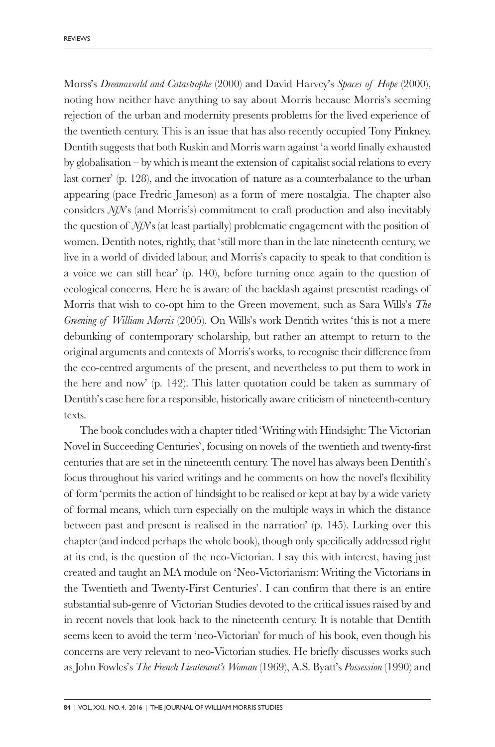Morss's *Dreamworld and Catastrophe* (2000) and David Harvey's *Spaces of Hope* (2000), noting how neither have anything to say about Morris because Morris's seeming rejection of the urban and modernity presents problems for the lived experience of the twentieth century. This is an issue that has also recently occupied Tony Pinkney. Dentith suggests that both Ruskin and Morris warn against 'a world finally exhausted by globalisation – by which is meant the extension of capitalist social relations to every last corner' (p. 128), and the invocation of nature as a counterbalance to the urban appearing (pace Fredric Jameson) as a form of mere nostalgia. The chapter also considers *NfN*'s (and Morris's) commitment to craft production and also inevitably the question of *NfN*'s (at least partially) problematic engagement with the position of women. Dentith notes, rightly, that 'still more than in the late nineteenth century, we live in a world of divided labour, and Morris's capacity to speak to that condition is a voice we can still hear' (p. 140), before turning once again to the question of ecological concerns. Here he is aware of the backlash against presentist readings of Morris that wish to co-opt him to the Green movement, such as Sara Wills's *The Greening of William Morris* (2005). On Wills's work Dentith writes 'this is not a mere debunking of contemporary scholarship, but rather an attempt to return to the original arguments and contexts of Morris's works, to recognise their difference from the eco-centred arguments of the present, and nevertheless to put them to work in the here and now' (p. 142). This latter quotation could be taken as summary of Dentith's case here for a responsible, historically aware criticism of nineteenth-century texts.

The book concludes with a chapter titled 'Writing with Hindsight: The Victorian Novel in Succeeding Centuries', focusing on novels of the twentieth and twenty-first centuries that are set in the nineteenth century. The novel has always been Dentith's focus throughout his varied writings and he comments on how the novel's flexibility of form 'permits the action of hindsight to be realised or kept at bay by a wide variety of formal means, which turn especially on the multiple ways in which the distance between past and present is realised in the narration' (p. 145). Lurking over this chapter (and indeed perhaps the whole book), though only specifically addressed right at its end, is the question of the neo-Victorian. I say this with interest, having just created and taught an MA module on 'Neo-Victorianism: Writing the Victorians in the Twentieth and Twenty-First Centuries'. I can confirm that there is an entire substantial sub-genre of Victorian Studies devoted to the critical issues raised by and in recent novels that look back to the nineteenth century. It is notable that Dentith seems keen to avoid the term 'neo-Victorian' for much of his book, even though his concerns are very relevant to neo-Victorian studies. He briefly discusses works such as John Fowles's *The French Lieutenant's Woman* (1969), A.S. Byatt's *Possession* (1990) and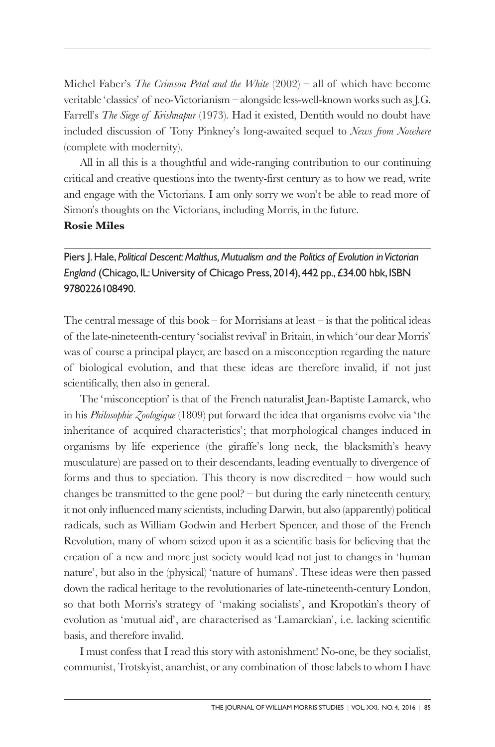Michel Faber's *The Crimson Petal and the White* (2002) – all of which have become veritable 'classics' of neo-Victorianism – alongside less-well-known works such as J.G. Farrell's *The Siege of Krishnapur* (1973). Had it existed, Dentith would no doubt have included discussion of Tony Pinkney's long-awaited sequel to *News from Nowhere* (complete with modernity).

All in all this is a thoughtful and wide-ranging contribution to our continuing critical and creative questions into the twenty-first century as to how we read, write and engage with the Victorians. I am only sorry we won't be able to read more of Simon's thoughts on the Victorians, including Morris, in the future.

# **Rosie Miles**

Piers J.Hale, *Political Descent:Malthus,Mutualism and the Politics of Evolution inVictorian* England (Chicago, IL: University of Chicago Press, 2014), 442 pp., £34.00 hbk, ISBN 9780226108490.

The central message of this book – for Morrisians at least – is that the political ideas of the late-nineteenth-century 'socialist revival' in Britain, in which 'our dear Morris' was of course a principal player, are based on a misconception regarding the nature of biological evolution, and that these ideas are therefore invalid, if not just scientifically, then also in general.

The 'misconception' is that of the French naturalist Jean-Baptiste Lamarck, who in his *Philosophie Zoologique* (1809) put forward the idea that organisms evolve via 'the inheritance of acquired characteristics'; that morphological changes induced in organisms by life experience (the giraffe's long neck, the blacksmith's heavy musculature) are passed on to their descendants, leading eventually to divergence of forms and thus to speciation. This theory is now discredited – how would such changes be transmitted to the gene pool? – but during the early nineteenth century, it not only influenced many scientists, including Darwin, but also (apparently) political radicals, such as William Godwin and Herbert Spencer, and those of the French Revolution, many of whom seized upon it as a scientific basis for believing that the creation of a new and more just society would lead not just to changes in 'human nature', but also in the (physical) 'nature of humans'. These ideas were then passed down the radical heritage to the revolutionaries of late-nineteenth-century London, so that both Morris's strategy of 'making socialists', and Kropotkin's theory of evolution as 'mutual aid', are characterised as 'Lamarckian', i.e. lacking scientific basis, and therefore invalid.

I must confess that I read this story with astonishment! No-one, be they socialist, communist, Trotskyist, anarchist, or any combination of those labels to whom I have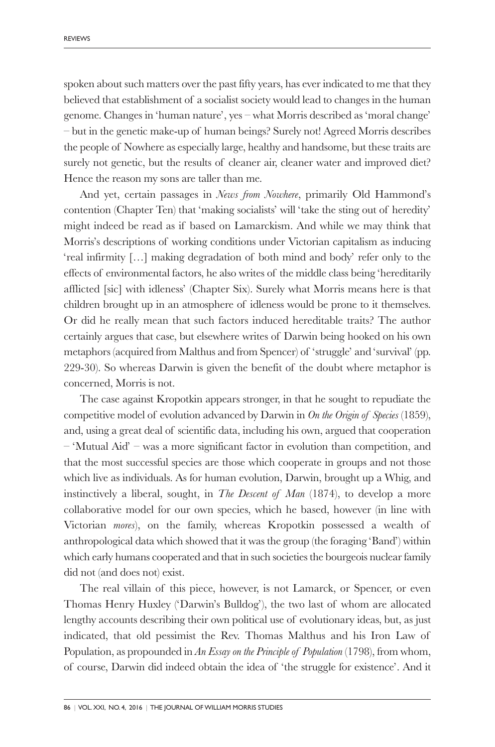spoken about such matters over the past fifty years, has ever indicated to me that they believed that establishment of a socialist society would lead to changes in the human genome. Changes in 'human nature', yes – what Morris described as 'moral change' – but in the genetic make-up of human beings? Surely not! Agreed Morris describes the people of Nowhere as especially large, healthy and handsome, but these traits are surely not genetic, but the results of cleaner air, cleaner water and improved diet? Hence the reason my sons are taller than me.

And yet, certain passages in *News from Nowhere*, primarily Old Hammond's contention (Chapter Ten) that 'making socialists' will 'take the sting out of heredity' might indeed be read as if based on Lamarckism. And while we may think that Morris's descriptions of working conditions under Victorian capitalism as inducing 'real infirmity […] making degradation of both mind and body' refer only to the effects of environmental factors, he also writes of the middle class being 'hereditarily afflicted [sic] with idleness' (Chapter Six). Surely what Morris means here is that children brought up in an atmosphere of idleness would be prone to it themselves. Or did he really mean that such factors induced hereditable traits? The author certainly argues that case, but elsewhere writes of Darwin being hooked on his own metaphors (acquired from Malthus and from Spencer) of 'struggle' and 'survival' (pp. 229-30). So whereas Darwin is given the benefit of the doubt where metaphor is concerned, Morris is not.

The case against Kropotkin appears stronger, in that he sought to repudiate the competitive model of evolution advanced by Darwin in *On the Origin of Species* (1859), and, using a great deal of scientific data, including his own, argued that cooperation  $-$  'Mutual Aid' – was a more significant factor in evolution than competition, and that the most successful species are those which cooperate in groups and not those which live as individuals. As for human evolution, Darwin, brought up a Whig, and instinctively a liberal, sought, in *The Descent of Man* (1874), to develop a more collaborative model for our own species, which he based, however (in line with Victorian *mores*), on the family, whereas Kropotkin possessed a wealth of anthropological data which showed that it was the group (the foraging 'Band') within which early humans cooperated and that in such societies the bourgeois nuclear family did not (and does not) exist.

The real villain of this piece, however, is not Lamarck, or Spencer, or even Thomas Henry Huxley ('Darwin's Bulldog'), the two last of whom are allocated lengthy accounts describing their own political use of evolutionary ideas, but, as just indicated, that old pessimist the Rev. Thomas Malthus and his Iron Law of Population, as propounded in *An Essay on the Principle of Population* (1798), from whom, of course, Darwin did indeed obtain the idea of 'the struggle for existence'. And it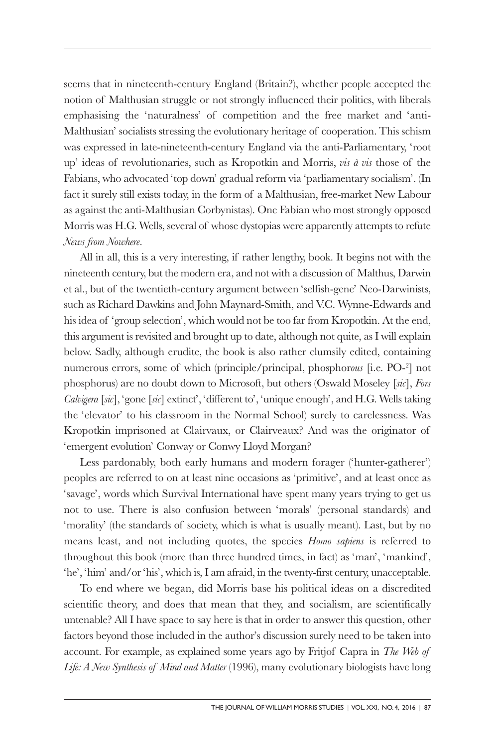seems that in nineteenth-century England (Britain?), whether people accepted the notion of Malthusian struggle or not strongly influenced their politics, with liberals emphasising the 'naturalness' of competition and the free market and 'anti-Malthusian' socialists stressing the evolutionary heritage of cooperation. This schism was expressed in late-nineteenth-century England via the anti-Parliamentary, 'root up' ideas of revolutionaries, such as Kropotkin and Morris, *vis à vis* those of the Fabians, who advocated 'top down' gradual reform via 'parliamentary socialism'. (In fact it surely still exists today, in the form of a Malthusian, free-market New Labour as against the anti-Malthusian Corbynistas). One Fabian who most strongly opposed Morris was H.G. Wells, several of whose dystopias were apparently attempts to refute *News from Nowhere*.

All in all, this is a very interesting, if rather lengthy, book. It begins not with the nineteenth century, but the modern era, and not with a discussion of Malthus, Darwin et al., but of the twentieth-century argument between 'selfish-gene' Neo-Darwinists, such as Richard Dawkins and John Maynard-Smith, and V.C. Wynne-Edwards and his idea of 'group selection', which would not be too far from Kropotkin. At the end, this argument is revisited and brought up to date, although not quite, as I will explain below. Sadly, although erudite, the book is also rather clumsily edited, containing numerous errors, some of which (principle/principal, phosphor*ous* [i.e. PO-2] not phosphorus) are no doubt down to Microsoft, but others (Oswald Moseley [*sic*], *Fors Calvigera* [*sic*], 'gone [*sic*] extinct', 'different to', 'unique enough', and H.G. Wells taking the 'elevator' to his classroom in the Normal School) surely to carelessness. Was Kropotkin imprisoned at Clairvaux, or Clairveaux? And was the originator of 'emergent evolution' Conway or Conwy Lloyd Morgan?

Less pardonably, both early humans and modern forager ('hunter-gatherer') peoples are referred to on at least nine occasions as 'primitive', and at least once as 'savage', words which Survival International have spent many years trying to get us not to use. There is also confusion between 'morals' (personal standards) and 'morality' (the standards of society, which is what is usually meant). Last, but by no means least, and not including quotes, the species *Homo sapiens* is referred to throughout this book (more than three hundred times, in fact) as 'man', 'mankind', 'he', 'him' and/or 'his', which is, I am afraid, in the twenty-first century, unacceptable.

To end where we began, did Morris base his political ideas on a discredited scientific theory, and does that mean that they, and socialism, are scientifically untenable? All I have space to say here is that in order to answer this question, other factors beyond those included in the author's discussion surely need to be taken into account. For example, as explained some years ago by Fritjof Capra in *The Web of Life: A New Synthesis of Mind and Matter* (1996), many evolutionary biologists have long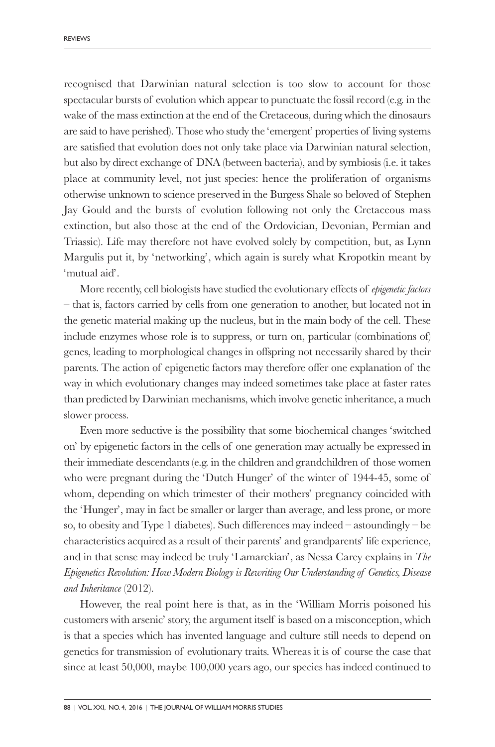recognised that Darwinian natural selection is too slow to account for those spectacular bursts of evolution which appear to punctuate the fossil record (e.g. in the wake of the mass extinction at the end of the Cretaceous, during which the dinosaurs are said to have perished). Those who study the 'emergent' properties of living systems are satisfied that evolution does not only take place via Darwinian natural selection, but also by direct exchange of DNA (between bacteria), and by symbiosis (i.e. it takes place at community level, not just species: hence the proliferation of organisms otherwise unknown to science preserved in the Burgess Shale so beloved of Stephen Jay Gould and the bursts of evolution following not only the Cretaceous mass extinction, but also those at the end of the Ordovician, Devonian, Permian and Triassic). Life may therefore not have evolved solely by competition, but, as Lynn Margulis put it, by 'networking', which again is surely what Kropotkin meant by 'mutual aid'.

More recently, cell biologists have studied the evolutionary effects of *epigenetic factors* – that is, factors carried by cells from one generation to another, but located not in the genetic material making up the nucleus, but in the main body of the cell. These include enzymes whose role is to suppress, or turn on, particular (combinations of) genes, leading to morphological changes in offspring not necessarily shared by their parents. The action of epigenetic factors may therefore offer one explanation of the way in which evolutionary changes may indeed sometimes take place at faster rates than predicted by Darwinian mechanisms, which involve genetic inheritance, a much slower process.

Even more seductive is the possibility that some biochemical changes 'switched on' by epigenetic factors in the cells of one generation may actually be expressed in their immediate descendants (e.g. in the children and grandchildren of those women who were pregnant during the 'Dutch Hunger' of the winter of 1944-45, some of whom, depending on which trimester of their mothers' pregnancy coincided with the 'Hunger', may in fact be smaller or larger than average, and less prone, or more so, to obesity and Type 1 diabetes). Such differences may indeed – astoundingly – be characteristics acquired as a result of their parents' and grandparents' life experience, and in that sense may indeed be truly 'Lamarckian', as Nessa Carey explains in *The Epigenetics Revolution: How Modern Biology is Rewriting Our Understanding of Genetics, Disease and Inheritance* (2012).

However, the real point here is that, as in the 'William Morris poisoned his customers with arsenic' story, the argument itself is based on a misconception, which is that a species which has invented language and culture still needs to depend on genetics for transmission of evolutionary traits. Whereas it is of course the case that since at least 50,000, maybe 100,000 years ago, our species has indeed continued to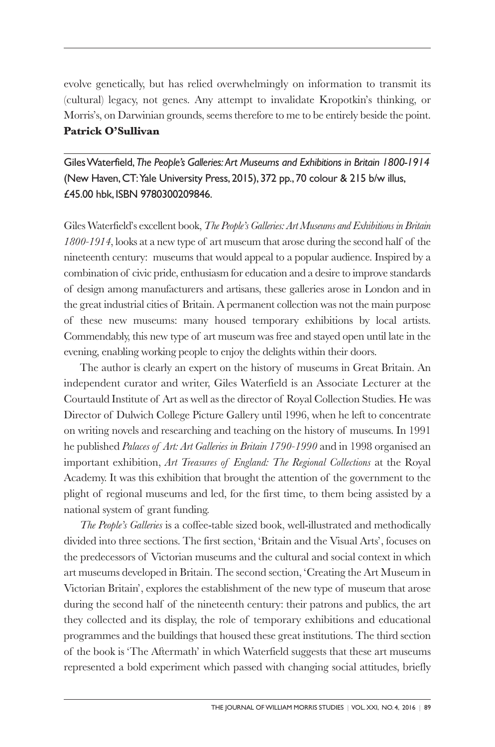evolve genetically, but has relied overwhelmingly on information to transmit its (cultural) legacy, not genes. Any attempt to invalidate Kropotkin's thinking, or Morris's, on Darwinian grounds, seems therefore to me to be entirely beside the point. **Patrick O'Sullivan**

GilesWaterfield,*The People's Galleries: Art Museums and Exhibitions in Britain 1800-1914* (New Haven,CT:Yale University Press, 2015), 372 pp., 70 colour & 215 b/w illus, £45.00 hbk, ISBN 9780300209846.

Giles Waterfield's excellent book, *The People's Galleries: Art Museums and Exhibitions in Britain 1800-1914*, looks at a new type of art museum that arose during the second half of the nineteenth century: museums that would appeal to a popular audience. Inspired by a combination of civic pride, enthusiasm for education and a desire to improve standards of design among manufacturers and artisans, these galleries arose in London and in the great industrial cities of Britain. A permanent collection was not the main purpose of these new museums: many housed temporary exhibitions by local artists. Commendably, this new type of art museum was free and stayed open until late in the evening, enabling working people to enjoy the delights within their doors.

The author is clearly an expert on the history of museums in Great Britain. An independent curator and writer, Giles Waterfield is an Associate Lecturer at the Courtauld Institute of Art as well as the director of Royal Collection Studies. He was Director of Dulwich College Picture Gallery until 1996, when he left to concentrate on writing novels and researching and teaching on the history of museums. In 1991 he published *Palaces of Art: Art Galleries in Britain 1790-1990* and in 1998 organised an important exhibition, *Art Treasures of England: The Regional Collections* at the Royal Academy. It was this exhibition that brought the attention of the government to the plight of regional museums and led, for the first time, to them being assisted by a national system of grant funding.

*The People's Galleries* is a coffee-table sized book, well-illustrated and methodically divided into three sections. The first section, 'Britain and the Visual Arts', focuses on the predecessors of Victorian museums and the cultural and social context in which art museums developed in Britain. The second section, 'Creating the Art Museum in Victorian Britain', explores the establishment of the new type of museum that arose during the second half of the nineteenth century: their patrons and publics, the art they collected and its display, the role of temporary exhibitions and educational programmes and the buildings that housed these great institutions. The third section of the book is 'The Aftermath' in which Waterfield suggests that these art museums represented a bold experiment which passed with changing social attitudes, briefly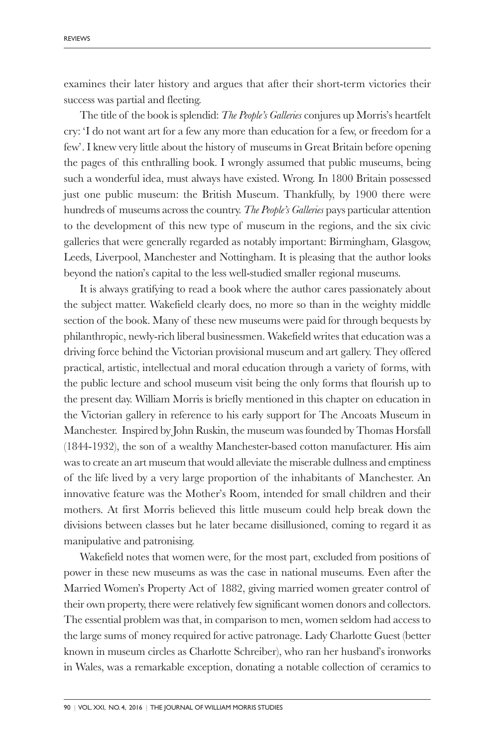examines their later history and argues that after their short-term victories their success was partial and fleeting.

The title of the book is splendid: *The People's Galleries* conjures up Morris's heartfelt cry: 'I do not want art for a few any more than education for a few, or freedom for a few'. I knew very little about the history of museums in Great Britain before opening the pages of this enthralling book. I wrongly assumed that public museums, being such a wonderful idea, must always have existed. Wrong. In 1800 Britain possessed just one public museum: the British Museum. Thankfully, by 1900 there were hundreds of museums across the country. *The People's Galleries* pays particular attention to the development of this new type of museum in the regions, and the six civic galleries that were generally regarded as notably important: Birmingham, Glasgow, Leeds, Liverpool, Manchester and Nottingham. It is pleasing that the author looks beyond the nation's capital to the less well-studied smaller regional museums.

It is always gratifying to read a book where the author cares passionately about the subject matter. Wakefield clearly does, no more so than in the weighty middle section of the book. Many of these new museums were paid for through bequests by philanthropic, newly-rich liberal businessmen. Wakefield writes that education was a driving force behind the Victorian provisional museum and art gallery. They offered practical, artistic, intellectual and moral education through a variety of forms, with the public lecture and school museum visit being the only forms that flourish up to the present day. William Morris is briefly mentioned in this chapter on education in the Victorian gallery in reference to his early support for The Ancoats Museum in Manchester. Inspired by John Ruskin, the museum was founded by Thomas Horsfall (1844-1932), the son of a wealthy Manchester-based cotton manufacturer. His aim was to create an art museum that would alleviate the miserable dullness and emptiness of the life lived by a very large proportion of the inhabitants of Manchester. An innovative feature was the Mother's Room, intended for small children and their mothers. At first Morris believed this little museum could help break down the divisions between classes but he later became disillusioned, coming to regard it as manipulative and patronising.

Wakefield notes that women were, for the most part, excluded from positions of power in these new museums as was the case in national museums. Even after the Married Women's Property Act of 1882, giving married women greater control of their own property, there were relatively few significant women donors and collectors. The essential problem was that, in comparison to men, women seldom had access to the large sums of money required for active patronage. Lady Charlotte Guest (better known in museum circles as Charlotte Schreiber), who ran her husband's ironworks in Wales, was a remarkable exception, donating a notable collection of ceramics to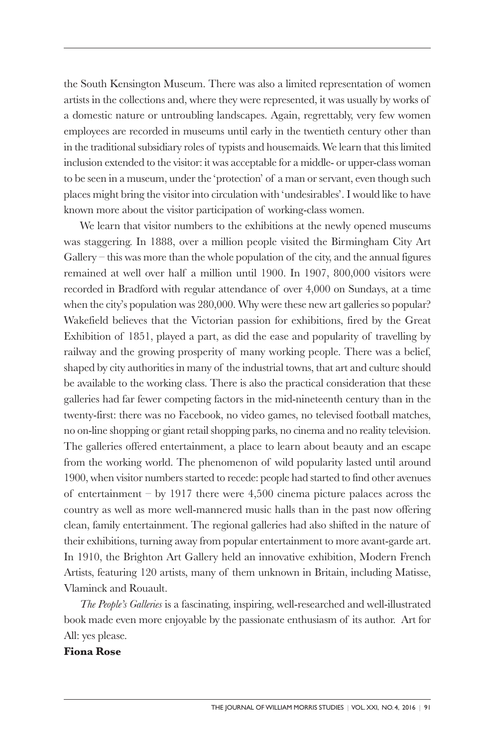the South Kensington Museum. There was also a limited representation of women artists in the collections and, where they were represented, it was usually by works of a domestic nature or untroubling landscapes. Again, regrettably, very few women employees are recorded in museums until early in the twentieth century other than in the traditional subsidiary roles of typists and housemaids. We learn that this limited inclusion extended to the visitor: it was acceptable for a middle- or upper-class woman to be seen in a museum, under the 'protection' of a man or servant, even though such places might bring the visitor into circulation with 'undesirables'. I would like to have known more about the visitor participation of working-class women.

We learn that visitor numbers to the exhibitions at the newly opened museums was staggering. In 1888, over a million people visited the Birmingham City Art Gallery – this was more than the whole population of the city, and the annual figures remained at well over half a million until 1900. In 1907, 800,000 visitors were recorded in Bradford with regular attendance of over 4,000 on Sundays, at a time when the city's population was 280,000. Why were these new art galleries so popular? Wakefield believes that the Victorian passion for exhibitions, fired by the Great Exhibition of 1851, played a part, as did the ease and popularity of travelling by railway and the growing prosperity of many working people. There was a belief, shaped by city authorities in many of the industrial towns, that art and culture should be available to the working class. There is also the practical consideration that these galleries had far fewer competing factors in the mid-nineteenth century than in the twenty-first: there was no Facebook, no video games, no televised football matches, no on-line shopping or giant retail shopping parks, no cinema and no reality television. The galleries offered entertainment, a place to learn about beauty and an escape from the working world. The phenomenon of wild popularity lasted until around 1900, when visitor numbers started to recede: people had started to find other avenues of entertainment – by 1917 there were 4,500 cinema picture palaces across the country as well as more well-mannered music halls than in the past now offering clean, family entertainment. The regional galleries had also shifted in the nature of their exhibitions, turning away from popular entertainment to more avant-garde art. In 1910, the Brighton Art Gallery held an innovative exhibition, Modern French Artists, featuring 120 artists, many of them unknown in Britain, including Matisse, Vlaminck and Rouault.

*The People's Galleries* is a fascinating, inspiring, well-researched and well-illustrated book made even more enjoyable by the passionate enthusiasm of its author. Art for All: yes please.

## **Fiona Rose**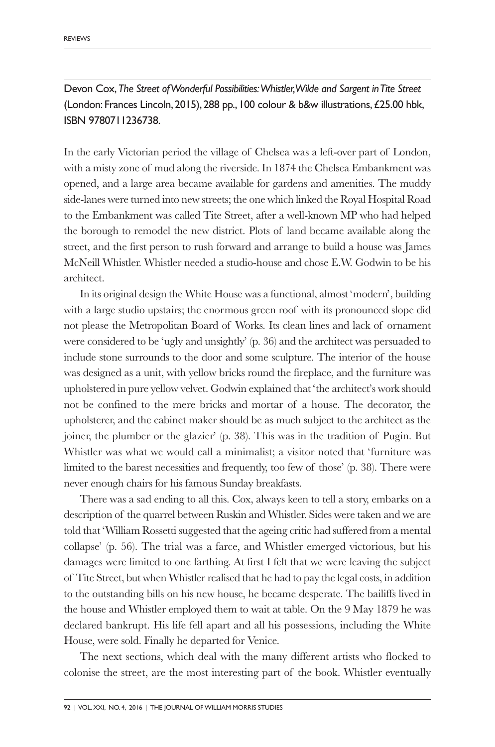Devon Cox,*The Street ofWonderful Possibilities:Whistler,Wilde and Sargent inTite Street* (London: Frances Lincoln, 2015), 288 pp., 100 colour & b&w illustrations,£25.00 hbk, ISBN 9780711236738.

In the early Victorian period the village of Chelsea was a left-over part of London, with a misty zone of mud along the riverside. In 1874 the Chelsea Embankment was opened, and a large area became available for gardens and amenities. The muddy side-lanes were turned into new streets; the one which linked the Royal Hospital Road to the Embankment was called Tite Street, after a well-known MP who had helped the borough to remodel the new district. Plots of land became available along the street, and the first person to rush forward and arrange to build a house was James McNeill Whistler. Whistler needed a studio-house and chose E.W. Godwin to be his architect.

In its original design the White House was a functional, almost 'modern', building with a large studio upstairs; the enormous green roof with its pronounced slope did not please the Metropolitan Board of Works. Its clean lines and lack of ornament were considered to be 'ugly and unsightly' (p. 36) and the architect was persuaded to include stone surrounds to the door and some sculpture. The interior of the house was designed as a unit, with yellow bricks round the fireplace, and the furniture was upholstered in pure yellow velvet. Godwin explained that 'the architect's work should not be confined to the mere bricks and mortar of a house. The decorator, the upholsterer, and the cabinet maker should be as much subject to the architect as the joiner, the plumber or the glazier' (p. 38). This was in the tradition of Pugin. But Whistler was what we would call a minimalist; a visitor noted that 'furniture was limited to the barest necessities and frequently, too few of those' (p. 38). There were never enough chairs for his famous Sunday breakfasts.

There was a sad ending to all this. Cox, always keen to tell a story, embarks on a description of the quarrel between Ruskin and Whistler. Sides were taken and we are told that 'William Rossetti suggested that the ageing critic had suffered from a mental collapse' (p. 56). The trial was a farce, and Whistler emerged victorious, but his damages were limited to one farthing. At first I felt that we were leaving the subject of Tite Street, but when Whistler realised that he had to pay the legal costs, in addition to the outstanding bills on his new house, he became desperate. The bailiffs lived in the house and Whistler employed them to wait at table. On the 9 May 1879 he was declared bankrupt. His life fell apart and all his possessions, including the White House, were sold. Finally he departed for Venice.

The next sections, which deal with the many different artists who flocked to colonise the street, are the most interesting part of the book. Whistler eventually